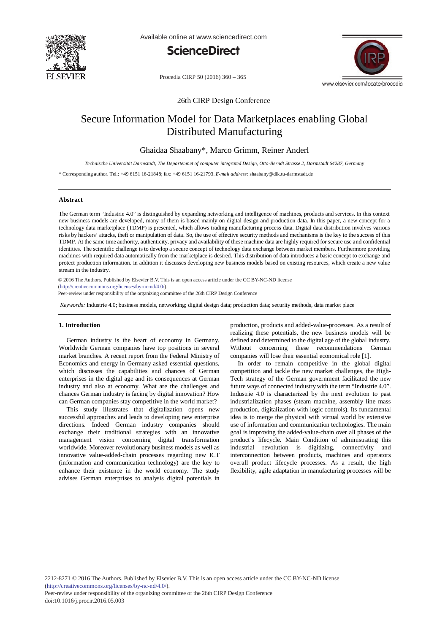

Available online at www.sciencedirect.com





Procedia CIRP 50 (2016) 360 - 365

26th CIRP Design Conference

# Secure Information Model for Data Marketplaces enabling Global Distributed Manufacturing

## Ghaidaa Shaabany\*, Marco Grimm, Reiner Anderl

*Technische Universität Darmstadt, The Departemnet of computer integrated Design, Otto-Berndt Strasse 2, Darmstadt 64287, Germany*

\* Corresponding author. Tel.: +49 6151 16-21848; fax: +49 6151 16-21793. *E-mail address:* shaabany@dik.tu-darmstadt.de

### **Abstract**

The German term "Industrie 4.0" is distinguished by expanding networking and intelligence of machines, products and services. In this context new business models are developed, many of them is based mainly on digital design and production data. In this paper, a new concept for a technology data marketplace (TDMP) is presented, which allows trading manufacturing process data. Digital data distribution involves various risks by hackers' attacks, theft or manipulation of data. So, the use of effective security methods and mechanisms is the key to the success of this TDMP. At the same time authority, authenticity, privacy and availability of these machine data are highly required for secure use and confidential identities. The scientific challenge is to develop a secure concept of technology data exchange between market members. Furthermore providing machines with required data automatically from the marketplace is desired. This distribution of data introduces a basic concept to exchange and protect production information. In addition it discusses developing new business models based on existing resources, which create a new value stream in the industry.

© 2016 The Authors. Published by Elsevier B.V. (http://creativecommons.org/licenses/by-nc-nd/4.0/). Selection and peer-review under responsibility of Professor Lihui Wang. Peer-review under responsibility of the organizing committee of the 26th CIRP Design Conference© 2016 The Authors. Published by Elsevier B.V. This is an open access article under the CC BY-NC-ND license

*Keywords:* Industrie 4.0; business models, networking; digital design data; production data; security methods, data market place

## **1. Introduction**

German industry is the heart of economy in Germany. Worldwide German companies have top positions in several market branches. A recent report from the Federal Ministry of Economics and energy in Germany asked essential questions, which discusses the capabilities and chances of German enterprises in the digital age and its consequences at German industry and also at economy. What are the challenges and chances German industry is facing by digital innovation? How can German companies stay competitive in the world market?

This study illustrates that digitalization opens new successful approaches and leads to developing new enterprise directions. Indeed German industry companies should exchange their traditional strategies with an innovative management vision concerning digital transformation worldwide. Moreover revolutionary business models as well as innovative value-added-chain processes regarding new ICT (information and communication technology) are the key to enhance their existence in the world economy. The study advises German enterprises to analysis digital potentials in

production, products and added-value-processes. As a result of realizing these potentials, the new business models will be defined and determined to the digital age of the global industry. Without concerning these recommendations German companies will lose their essential economical role [1].

In order to remain competitive in the global digital competition and tackle the new market challenges, the High-Tech strategy of the German government facilitated the new future ways of connected industry with the term "Industrie 4.0". Industrie 4.0 is characterized by the next evolution to past industrialization phases (steam machine, assembly line mass production, digitalization with logic controls). Its fundamental idea is to merge the physical with virtual world by extensive use of information and communication technologies. The main goal is improving the added-value-chain over all phases of the product's lifecycle. Main Condition of administrating this industrial revolution is digitizing, connectivity and interconnection between products, machines and operators overall product lifecycle processes. As a result, the high flexibility, agile adaptation in manufacturing processes will be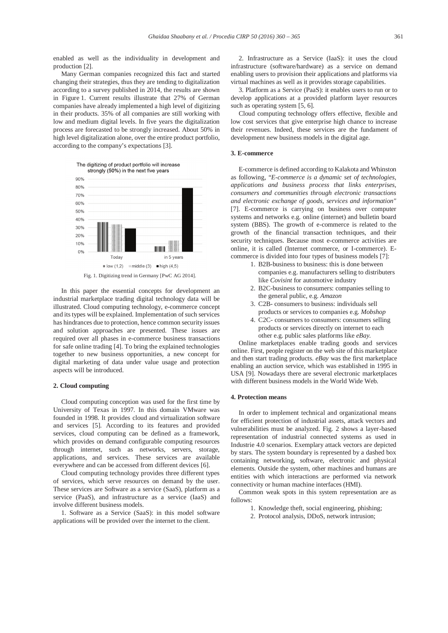enabled as well as the individuality in development and production [2].

Many German companies recognized this fact and started changing their strategies, thus they are tending to digitalization according to a survey published in 2014, the results are shown in Figure 1. Current results illustrate that 27% of German companies have already implemented a high level of digitizing in their products. 35% of all companies are still working with low and medium digital levels. In five years the digitalization process are forecasted to be strongly increased. About 50% in high level digitalization alone, over the entire product portfolio, according to the company's expectations [3].



In this paper the essential concepts for development an industrial marketplace trading digital technology data will be illustrated. Cloud computing technology, e-commerce concept and its types will be explained. Implementation of such services has hindrances due to protection, hence common security issues and solution approaches are presented. These issues are required over all phases in e-commerce business transactions for safe online trading [4]. To bring the explained technologies together to new business opportunities, a new concept for digital marketing of data under value usage and protection aspects will be introduced.

## **2. Cloud computing**

Cloud computing conception was used for the first time by University of Texas in 1997. In this domain VMware was founded in 1998. It provides cloud and virtualization software and services [5]. According to its features and provided services, cloud computing can be defined as a framework, which provides on demand configurable computing resources through internet, such as networks, servers, storage, applications, and services. These services are available everywhere and can be accessed from different devices [6].

Cloud computing technology provides three different types of services, which serve resources on demand by the user. These services are Software as a service (SaaS), platform as a service (PaaS), and infrastructure as a service (IaaS) and involve different business models.

1. Software as a Service (SaaS): in this model software applications will be provided over the internet to the client.

2. Infrastructure as a Service (IaaS): it uses the cloud infrastructure (software/hardware) as a service on demand enabling users to provision their applications and platforms via virtual machines as well as it provides storage capabilities.

3. Platform as a Service (PaaS): it enables users to run or to develop applications at a provided platform layer resources such as operating system [5, 6].

Cloud computing technology offers effective, flexible and low cost services that give enterprise high chance to increase their revenues. Indeed, these services are the fundament of development new business models in the digital age.

## **3. E-commerce**

E-commerce is defined according to Kalakota and Whinston as following, "*E-commerce is a dynamic set of technologies, applications and business process that links enterprises, consumers and communities through electronic transactions and electronic exchange of goods, services and information"* [7]. E-commerce is carrying on business over computer systems and networks e.g. online (internet) and bulletin board system (BBS). The growth of e-commerce is related to the growth of the financial transaction techniques, and their security techniques. Because most e-commerce activities are online, it is called (Internet commerce, or I-commerce). Ecommerce is divided into four types of business models [7]:

- 1. B2B-business to business: this is done between companies e.g. manufacturers selling to distributers like *Covisint* for automotive industry
- 2. B2C-business to consumers: companies selling to the general public, e.g. *Amazon*
- 3. C2B- consumers to business: individuals sell products or services to companies e.g. *Mobshop*
- 4. C2C- consumers to consumers: consumers selling products or services directly on internet to each other e.g. public sales platforms like *eBay.*

Online marketplaces enable trading goods and services online. First, people register on the web site of this marketplace and then start trading products. *eBay* was the first marketplace enabling an auction service, which was established in 1995 in USA [9]. Nowadays there are several electronic marketplaces with different business models in the World Wide Web.

## **4. Protection means**

In order to implement technical and organizational means for efficient protection of industrial assets, attack vectors and vulnerabilities must be analyzed. Fig. 2 shows a layer-based representation of industrial connected systems as used in Industrie 4.0 scenarios. Exemplary attack vectors are depicted by stars. The system boundary is represented by a dashed box containing networking, software, electronic and physical elements. Outside the system, other machines and humans are entities with which interactions are performed via network connectivity or human machine interfaces (HMI).

Common weak spots in this system representation are as follows:

- 1. Knowledge theft, social engineering, phishing;
- 2. Protocol analysis, DDoS, network intrusion;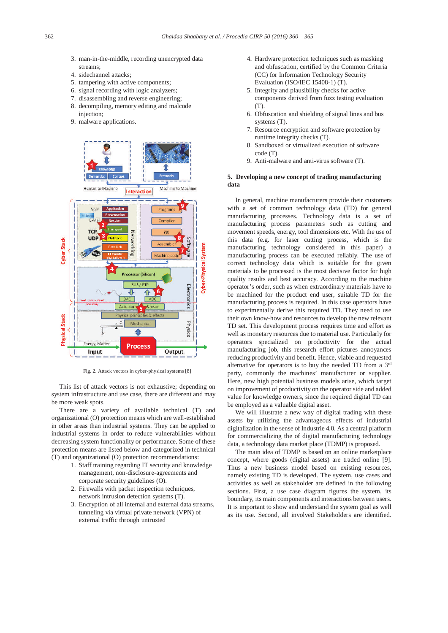- 3. man-in-the-middle, recording unencrypted data streams;
- 4. sidechannel attacks;
- 5. tampering with active components;
- 6. signal recording with logic analyzers;
- 7. disassembling and reverse engineering;
- 8. decompiling, memory editing and malcode injection;
- 9. malware applications.



Fig. 2. Attack vectors in cyber-physical systems [8]

This list of attack vectors is not exhaustive; depending on system infrastructure and use case, there are different and may be more weak spots.

There are a variety of available technical (T) and organizational (O) protection means which are well-established in other areas than industrial systems. They can be applied to industrial systems in order to reduce vulnerabilities without decreasing system functionality or performance. Some of these protection means are listed below and categorized in technical (T) and organizational (O) protection recommendations:

- 1. Staff training regarding IT security and knowledge management, non-disclosure-agreements and corporate security guidelines (O).
- 2. Firewalls with packet inspection techniques, network intrusion detection systems (T).
- 3. Encryption of all internal and external data streams, tunneling via virtual private network (VPN) of external traffic through untrusted
- 4. Hardware protection techniques such as masking and obfuscation, certified by the Common Criteria (CC) for Information Technology Security Evaluation (ISO/IEC 15408-1) (T).
- 5. Integrity and plausibility checks for active components derived from fuzz testing evaluation  $(T)$
- 6. Obfuscation and shielding of signal lines and bus systems (T).
- 7. Resource encryption and software protection by runtime integrity checks (T).
- Sandboxed or virtualized execution of software code (T).
- 9. Anti-malware and anti-virus software (T).

## **5. Developing a new concept of trading manufacturing data**

In general, machine manufacturers provide their customers with a set of common technology data (TD) for general manufacturing processes. Technology data is a set of manufacturing process parameters such as cutting and movement speeds, energy, tool dimensions etc. With the use of this data (e.g. for laser cutting process, which is the manufacturing technology considered in this paper) a manufacturing process can be executed reliably. The use of correct technology data which is suitable for the given materials to be processed is the most decisive factor for high quality results and best accuracy. According to the machine operator's order, such as when extraordinary materials have to be machined for the product end user, suitable TD for the manufacturing process is required. In this case operators have to experimentally derive this required TD. They need to use their own know-how and resources to develop the new relevant TD set. This development process requires time and effort as well as monetary resources due to material use. Particularly for operators specialized on productivity for the actual manufacturing job, this research effort pictures annoyances reducing productivity and benefit. Hence, viable and requested alternative for operators is to buy the needed TD from a 3rd party, commonly the machines' manufacturer or supplier. Here, new high potential business models arise, which target on improvement of productivity on the operator side and added value for knowledge owners, since the required digital TD can be employed as a valuable digital asset.

We will illustrate a new way of digital trading with these assets by utilizing the advantageous effects of industrial digitalization in the sense of Industrie 4.0. As a central platform for commercializing the of digital manufacturing technology data, a technology data market place (TDMP) is proposed.

The main idea of TDMP is based on an online marketplace concept, where goods (digital assets) are traded online [9]. Thus a new business model based on existing resources, namely existing TD is developed. The system, use cases and activities as well as stakeholder are defined in the following sections. First, a use case diagram figures the system, its boundary, its main components and interactions between users. It is important to show and understand the system goal as well as its use. Second, all involved Stakeholders are identified.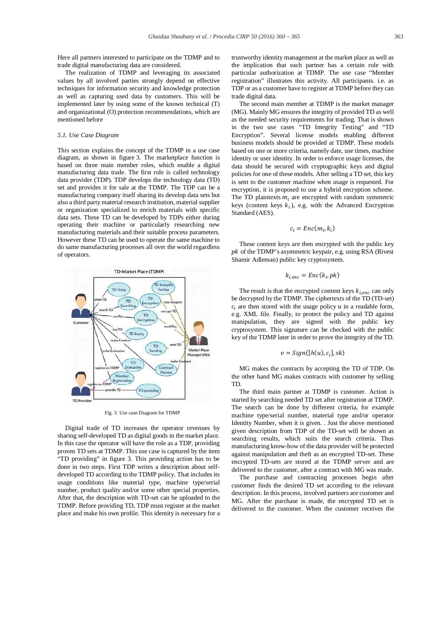Here all partners interested to participate on the TDMP and to trade digital manufacturing data are considered.

The realization of TDMP and leveraging its associated values by all involved parties strongly depend on effective techniques for information security and knowledge protection as well as capturing used data by customers. This will be implemented later by using some of the known technical (T) and organizational (O) protection recommendations, which are mentioned before

## *5.1. Use Case Diagram*

This section explains the concept of the TDMP in a use case diagram, as shown in figure 3. The marketplace function is based on three main member roles, which enable a digital manufacturing data trade. The first role is called technology data provider (TDP). TDP develops the technology data (TD) set and provides it for sale at the TDMP. The TDP can be a manufacturing company itself sharing its develop data sets but also a third party material research institution, material supplier or organization specialized to enrich materials with specific data sets. These TD can be developed by TDPs either during operating their machine or particularly researching new manufacturing materials and their suitable process parameters. However these TD can be used to operate the same machine to do same manufacturing processes all over the world regardless of operators.



Fig. 3. Use case Diagram for TDMP

Digital trade of TD increases the operator revenues by sharing self-developed TD as digital goods in the market place. In this case the operator will have the role as a TDP, providing proven TD sets at TDMP. This use case is captured by the item "TD providing" in figure 3. This providing action has to be done in two steps. First TDP writes a description about selfdeveloped TD according to the TDMP policy. That includes its usage conditions like material type, machine type/serial number, product quality and/or some other special properties. After that, the description with TD-set can be uploaded to the TDMP. Before providing TD, TDP must register at the market place and make his own profile. This identity is necessary for a trustworthy identity management at the market place as well as the implication that each partner has a certain role with particular authorization at TDMP. The use case "Member registration" illustrates this activity. All participants. i.e. as TDP or as a customer have to register at TDMP before they can trade digital data.

The second main member at TDMP is the market manager (MG). Mainly MG ensures the integrity of provided TD as well as the needed security requirements for trading. That is shown in the two use cases "TD Integrity Testing" and "TD Encryption". Several license models enabling different business models should be provided at TDMP. These models based on one or more criteria, namely date, use times, machine identity or user identity. In order to enforce usage licenses, the data should be secured with cryptographic keys and digital policies for one of these models. After selling a TD set, this key is sent to the customer machine when usage is requested. For encryption, it is proposed to use a hybrid encryption scheme. The TD plaintexts  $m_i$  are encrypted with random symmetric keys (content keys  $k_i$ ), e.g. with the Advanced Encryption Standard (AES).

$$
c_i = Enc(m_i, k_i)
$$

These content keys are then encrypted with the public key  $pk$  of the TDMP's asymmetric keypair, e.g. using RSA (Rivest Shamir Adleman) public key cryptosystem.

$$
k_{i,enc} = Enc(k_i, pk)
$$

The result is that the encrypted content keys  $k_{i,enc}$  can only be decrypted by the TDMP. The ciphertexts of the TD (TD-set)  $c_i$  are then stored with the usage policy  $u$  in a readable form, e.g. XML file. Finally, to protect the policy and TD against manipulation, they are signed with the public key cryptosystem. This signature can be checked with the public key of the TDMP later in order to prove the integrity of the TD.

$$
v = Sign([h(u), c_i], sk)
$$

MG makes the contracts by accepting the TD of TDP. On the other hand MG makes contracts with customer by selling TD.

The third main partner at TDMP is customer. Action is started by searching needed TD set after registration at TDMP. The search can be done by different criteria, for example machine type/serial number, material type and/or operator Identity Number, when it is given. . Just the above mentioned given description from TDP of the TD-set will be shown as searching results, which suits the search criteria. Thus manufacturing know-how of the data provider will be protected against manipulation and theft as an encrypted TD-set. These encrypted TD-sets are stored at the TDMP server and are delivered to the customer, after a contract with MG was made.

The purchase and contracting processes begin after customer finds the desired TD set according to the relevant description. In this process, involved partners are customer and MG. After the purchase is made, the encrypted TD set is delivered to the customer. When the customer receives the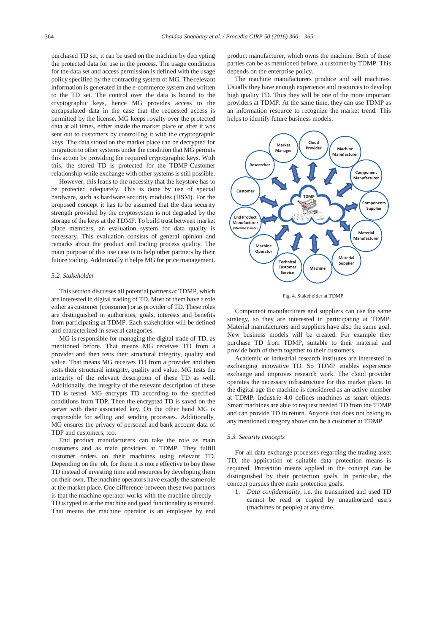purchased TD set, it can be used on the machine by decrypting the protected data for use in the process. The usage conditions for the data set and access permission is defined with the usage policy specified by the contracting system of MG. The relevant information is generated in the e-commerce system and written to the TD set. The control over the data is bound to the cryptographic keys, hence MG provides access to the encapsulated data in the case that the requested access is permitted by the license. MG keeps royalty over the protected data at all times, either inside the market place or after it was sent out to customers by controlling it with the cryptographic keys. The data stored on the market place can be decrypted for migration to other systems under the condition that MG permits this action by providing the required cryptographic keys. With this, the stored TD is protected for the TDMP-Customer relationship while exchange with other systems is still possible.

However, this leads to the necessity that the keystore has to be protected adequately. This is done by use of special hardware, such as hardware security modules (HSM). For the proposed concept it has to be assumed that the data security strength provided by the cryptosystem is not degraded by the storage of the keys at the TDMP. To build trust between market place members, an evaluation system for data quality is necessary. This evaluation consists of general opinion and remarks about the product and trading process quality. The main purpose of this use case is to help other partners by their future trading. Additionally it helps MG for price management.

## *5.2. Stakeholder*

This section discusses all potential partners at TDMP, which are interested in digital trading of TD. Most of them have a role either as customer (consumer) or as provider of TD. These roles are distinguished in authorities, goals, interests and benefits from participating at TDMP. Each stakeholder will be defined and characterized in several categories.

MG is responsible for managing the digital trade of TD, as mentioned before. That means MG receives TD from a provider and then tests their structural integrity, quality and value. That means MG receives TD from a provider and then tests their structural integrity, quality and value. MG tests the integrity of the relevant description of these TD as well. Additionally, the integrity of the relevant description of these TD is tested. MG encrypts TD according to the specified conditions from TDP. Then the encrypted TD is saved on the server with their associated key. On the other hand MG is responsible for selling and sending processes. Additionally, MG ensures the privacy of personal and bank account data of TDP and customers, too.

End product manufacturers can take the role as main customers and as main providers at TDMP. They fulfill customer orders on their machines using relevant TD. Depending on the job, for them it is more effective to buy these TD instead of investing time and resources by developing them on their own. The machine operators have exactly the same role at the market place. One difference between these two partners is that the machine operator works with the machine directly - TD is typed in at the machine and good functionality is ensured. That means the machine operator is an employee by end product manufacturer, which owns the machine. Both of these parties can be as mentioned before, a customer by TDMP. This depends on the enterprise policy.

The machine manufacturers produce and sell machines. Usually they have enough experience and resources to develop high quality TD. Thus they will be one of the more important providers at TDMP. At the same time, they can use TDMP as an information resource to recognize the market trend. This helps to identify future business models.



Fig. 4. Stakeholder at TDMP

Component manufacturers and suppliers can use the same strategy, so they are interested in participating at TDMP. Material manufacturers and suppliers have also the same goal. New business models will be created. For example they purchase TD from TDMP, suitable to their material and provide both of them together to their customers.

Academic or industrial research institutes are interested in exchanging innovative TD. So TDMP enables experience exchange and improves research work. The cloud provider operates the necessary infrastructure for this market place. In the digital age the machine is considered as an active member at TDMP. Industrie 4.0 defines machines as smart objects. Smart machines are able to request needed TD from the TDMP and can provide TD in return. Anyone that does not belong to any mentioned category above can be a customer at TDMP.

## *5.3. Security concepts*

For all data exchange processes regarding the trading asset TD, the application of suitable data protection means is required. Protection means applied in the concept can be distinguished by their protection goals. In particular, the concept pursues three main protection goals:

1. *Data confidentiality*, i.e. the transmitted and used TD cannot be read or copied by unauthorized users (machines or people) at any time.